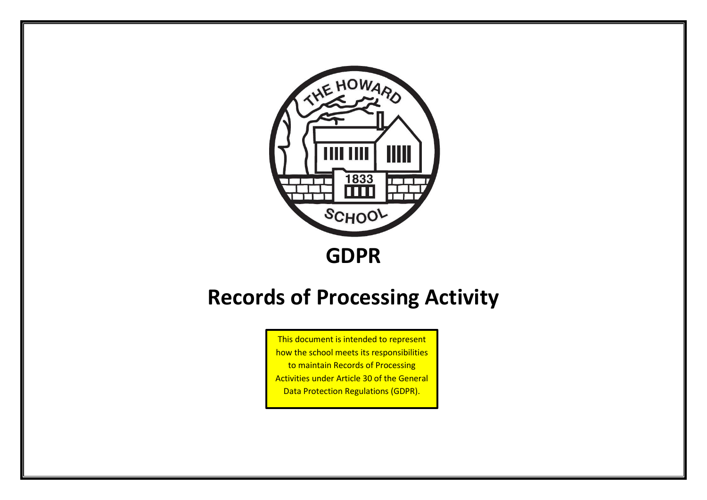

# **Records of Processing Activity**

This document is intended to represent how the school meets its responsibilities to maintain Records of Processing Activities under Article 30 of the General Data Protection Regulations (GDPR).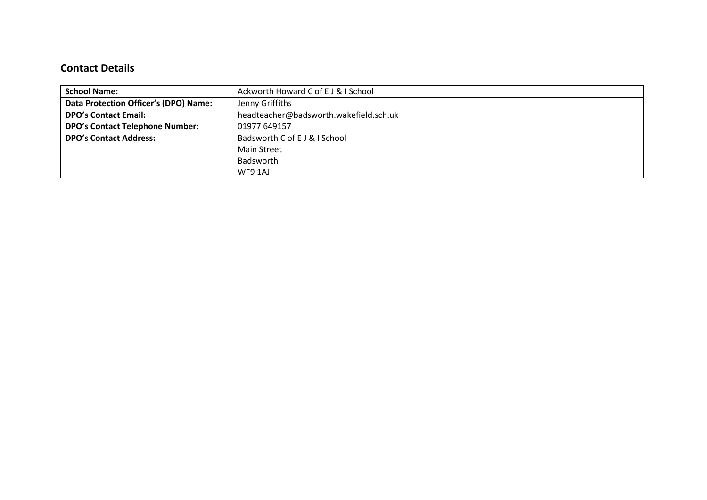#### **Contact Details**

| <b>School Name:</b>                    | Ackworth Howard C of E J & I School    |
|----------------------------------------|----------------------------------------|
| Data Protection Officer's (DPO) Name:  | Jenny Griffiths                        |
| <b>DPO's Contact Email:</b>            | headteacher@badsworth.wakefield.sch.uk |
| <b>DPO's Contact Telephone Number:</b> | 01977 649157                           |
| <b>DPO's Contact Address:</b>          | Badsworth C of E J & I School          |
|                                        | <b>Main Street</b>                     |
|                                        | <b>Badsworth</b>                       |
|                                        | WF9 1AJ                                |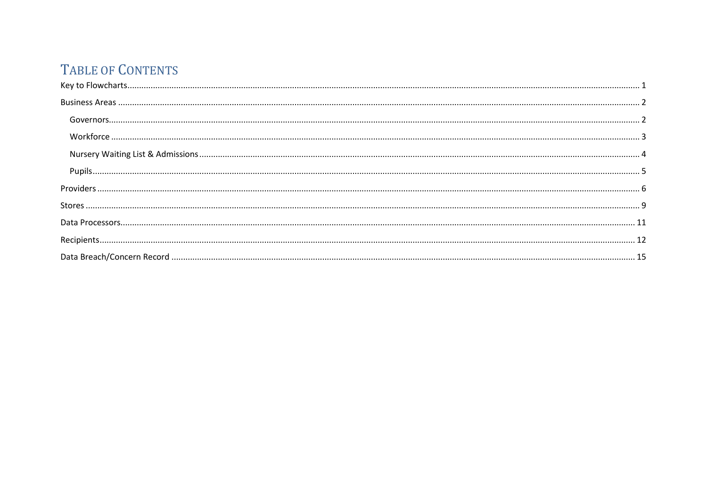## TABLE OF CONTENTS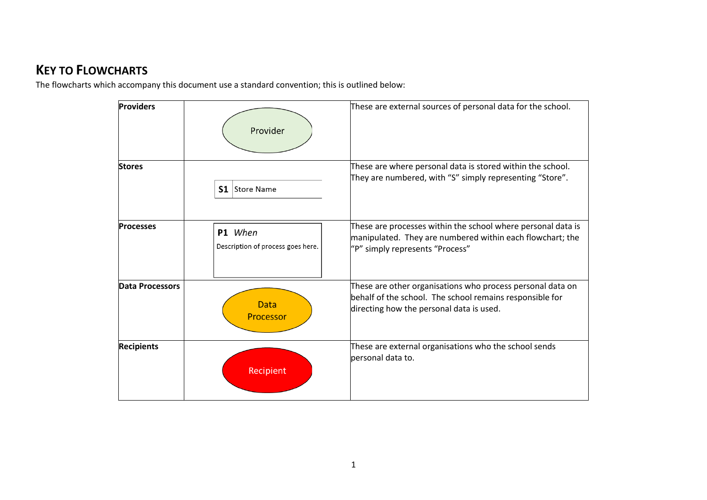#### <span id="page-3-0"></span>**KEY TO FLOWCHARTS**

The flowcharts which accompany this document use a standard convention; this is outlined below:

| <b>Providers</b>       | Provider                                     | These are external sources of personal data for the school.                                                                                                        |
|------------------------|----------------------------------------------|--------------------------------------------------------------------------------------------------------------------------------------------------------------------|
| <b>Stores</b>          | S <sub>1</sub><br>Store Name                 | These are where personal data is stored within the school.<br>They are numbered, with "S" simply representing "Store".                                             |
| <b>Processes</b>       | P1 When<br>Description of process goes here. | These are processes within the school where personal data is<br>manipulated. They are numbered within each flowchart; the<br>"P" simply represents "Process"       |
| <b>Data Processors</b> | <b>Data</b><br>Processor                     | These are other organisations who process personal data on<br>behalf of the school. The school remains responsible for<br>directing how the personal data is used. |
| <b>Recipients</b>      | Recipient                                    | These are external organisations who the school sends<br>personal data to.                                                                                         |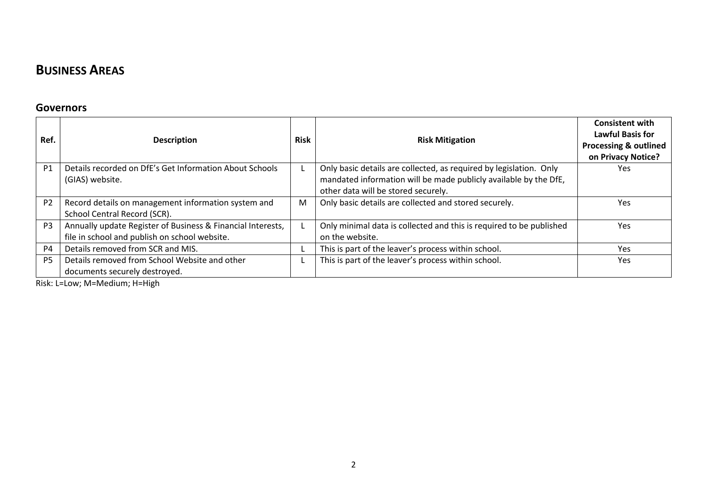#### <span id="page-4-0"></span>**BUSINESS AREAS**

#### <span id="page-4-1"></span>**Governors**

| Ref.           | <b>Description</b>                                                                                           | <b>Risk</b> | <b>Risk Mitigation</b>                                                                                  | <b>Consistent with</b><br><b>Lawful Basis for</b><br><b>Processing &amp; outlined</b><br>on Privacy Notice? |
|----------------|--------------------------------------------------------------------------------------------------------------|-------------|---------------------------------------------------------------------------------------------------------|-------------------------------------------------------------------------------------------------------------|
| P <sub>1</sub> | Details recorded on DfE's Get Information About Schools                                                      |             | Only basic details are collected, as required by legislation. Only                                      | Yes                                                                                                         |
|                | (GIAS) website.                                                                                              |             | mandated information will be made publicly available by the DfE,<br>other data will be stored securely. |                                                                                                             |
| P <sub>2</sub> | Record details on management information system and<br>School Central Record (SCR).                          | M           | Only basic details are collected and stored securely.                                                   | Yes                                                                                                         |
| P <sub>3</sub> | Annually update Register of Business & Financial Interests,<br>file in school and publish on school website. |             | Only minimal data is collected and this is required to be published<br>on the website.                  | Yes                                                                                                         |
| <b>P4</b>      | Details removed from SCR and MIS.                                                                            |             | This is part of the leaver's process within school.                                                     | Yes                                                                                                         |
| P <sub>5</sub> | Details removed from School Website and other<br>documents securely destroyed.                               |             | This is part of the leaver's process within school.                                                     | Yes                                                                                                         |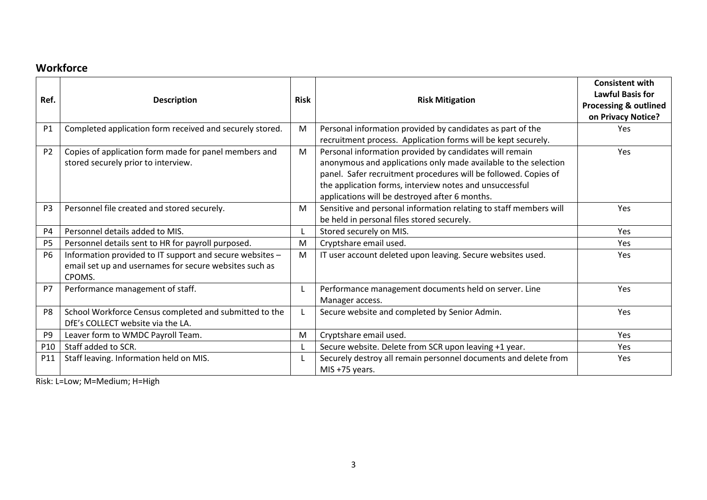#### <span id="page-5-0"></span>**Workforce**

| Ref.            | <b>Description</b>                                                                                                           | <b>Risk</b> | <b>Risk Mitigation</b>                                                                                                                                                                                                                                                                                     | <b>Consistent with</b><br><b>Lawful Basis for</b><br><b>Processing &amp; outlined</b><br>on Privacy Notice? |
|-----------------|------------------------------------------------------------------------------------------------------------------------------|-------------|------------------------------------------------------------------------------------------------------------------------------------------------------------------------------------------------------------------------------------------------------------------------------------------------------------|-------------------------------------------------------------------------------------------------------------|
| P1              | Completed application form received and securely stored.                                                                     | M           | Personal information provided by candidates as part of the<br>recruitment process. Application forms will be kept securely.                                                                                                                                                                                | Yes                                                                                                         |
| P <sub>2</sub>  | Copies of application form made for panel members and<br>stored securely prior to interview.                                 | M           | Personal information provided by candidates will remain<br>anonymous and applications only made available to the selection<br>panel. Safer recruitment procedures will be followed. Copies of<br>the application forms, interview notes and unsuccessful<br>applications will be destroyed after 6 months. | Yes                                                                                                         |
| P <sub>3</sub>  | Personnel file created and stored securely.                                                                                  | М           | Sensitive and personal information relating to staff members will<br>be held in personal files stored securely.                                                                                                                                                                                            | Yes                                                                                                         |
| <b>P4</b>       | Personnel details added to MIS.                                                                                              |             | Stored securely on MIS.                                                                                                                                                                                                                                                                                    | Yes                                                                                                         |
| <b>P5</b>       | Personnel details sent to HR for payroll purposed.                                                                           | M           | Cryptshare email used.                                                                                                                                                                                                                                                                                     | Yes                                                                                                         |
| <b>P6</b>       | Information provided to IT support and secure websites -<br>email set up and usernames for secure websites such as<br>CPOMS. | M           | IT user account deleted upon leaving. Secure websites used.                                                                                                                                                                                                                                                | <b>Yes</b>                                                                                                  |
| P7              | Performance management of staff.                                                                                             |             | Performance management documents held on server. Line<br>Manager access.                                                                                                                                                                                                                                   | Yes                                                                                                         |
| P <sub>8</sub>  | School Workforce Census completed and submitted to the<br>DfE's COLLECT website via the LA.                                  |             | Secure website and completed by Senior Admin.                                                                                                                                                                                                                                                              | Yes                                                                                                         |
| P <sub>9</sub>  | Leaver form to WMDC Payroll Team.                                                                                            | M           | Cryptshare email used.                                                                                                                                                                                                                                                                                     | <b>Yes</b>                                                                                                  |
| P <sub>10</sub> | Staff added to SCR.                                                                                                          |             | Secure website. Delete from SCR upon leaving +1 year.                                                                                                                                                                                                                                                      | Yes                                                                                                         |
| P11             | Staff leaving. Information held on MIS.                                                                                      |             | Securely destroy all remain personnel documents and delete from<br>MIS +75 years.                                                                                                                                                                                                                          | Yes                                                                                                         |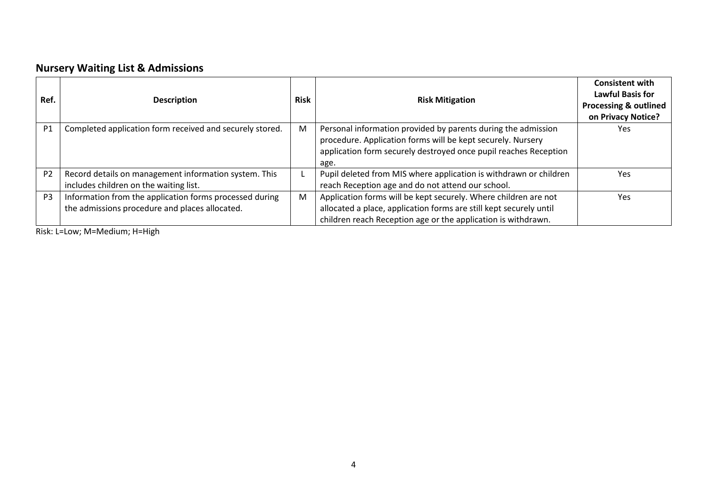### <span id="page-6-0"></span>**Nursery Waiting List & Admissions**

| Ref.           | <b>Description</b>                                                                                        | <b>Risk</b> | <b>Risk Mitigation</b>                                                                                                                                                                                   | <b>Consistent with</b><br><b>Lawful Basis for</b><br><b>Processing &amp; outlined</b><br>on Privacy Notice? |
|----------------|-----------------------------------------------------------------------------------------------------------|-------------|----------------------------------------------------------------------------------------------------------------------------------------------------------------------------------------------------------|-------------------------------------------------------------------------------------------------------------|
| P <sub>1</sub> | Completed application form received and securely stored.                                                  | M           | Personal information provided by parents during the admission<br>procedure. Application forms will be kept securely. Nursery<br>application form securely destroyed once pupil reaches Reception<br>age. | <b>Yes</b>                                                                                                  |
| P <sub>2</sub> | Record details on management information system. This<br>includes children on the waiting list.           |             | Pupil deleted from MIS where application is withdrawn or children<br>reach Reception age and do not attend our school.                                                                                   | <b>Yes</b>                                                                                                  |
| P <sub>3</sub> | Information from the application forms processed during<br>the admissions procedure and places allocated. | M           | Application forms will be kept securely. Where children are not<br>allocated a place, application forms are still kept securely until<br>children reach Reception age or the application is withdrawn.   | <b>Yes</b>                                                                                                  |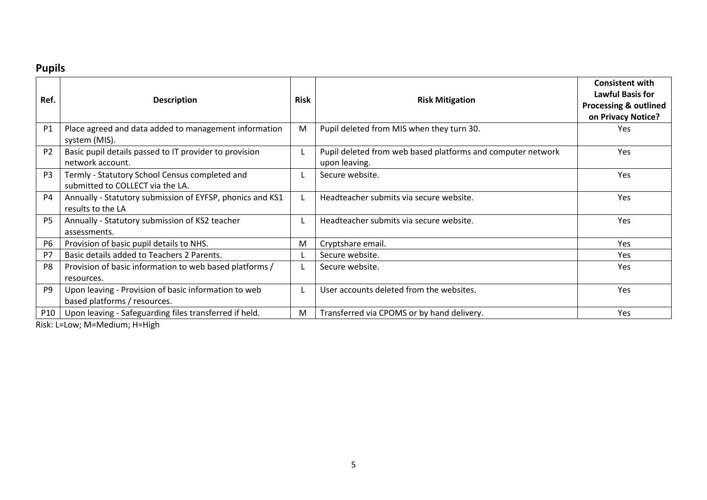#### <span id="page-7-0"></span>**Pupils**

| Ref.           | <b>Description</b>                                                                   | <b>Risk</b> | <b>Risk Mitigation</b>                                                       | <b>Consistent with</b><br><b>Lawful Basis for</b><br><b>Processing &amp; outlined</b><br>on Privacy Notice? |
|----------------|--------------------------------------------------------------------------------------|-------------|------------------------------------------------------------------------------|-------------------------------------------------------------------------------------------------------------|
| P1             | Place agreed and data added to management information<br>system (MIS).               | M           | Pupil deleted from MIS when they turn 30.                                    | <b>Yes</b>                                                                                                  |
| P <sub>2</sub> | Basic pupil details passed to IT provider to provision<br>network account.           |             | Pupil deleted from web based platforms and computer network<br>upon leaving. | Yes                                                                                                         |
| P <sub>3</sub> | Termly - Statutory School Census completed and<br>submitted to COLLECT via the LA.   |             | Secure website.                                                              | Yes                                                                                                         |
| <b>P4</b>      | Annually - Statutory submission of EYFSP, phonics and KS1<br>results to the LA       |             | Headteacher submits via secure website.                                      | Yes                                                                                                         |
| P <sub>5</sub> | Annually - Statutory submission of KS2 teacher<br>assessments.                       |             | Headteacher submits via secure website.                                      | Yes                                                                                                         |
| P <sub>6</sub> | Provision of basic pupil details to NHS.                                             | M           | Cryptshare email.                                                            | Yes                                                                                                         |
| P7             | Basic details added to Teachers 2 Parents.                                           |             | Secure website.                                                              | Yes                                                                                                         |
| P <sub>8</sub> | Provision of basic information to web based platforms /<br>resources.                |             | Secure website.                                                              | <b>Yes</b>                                                                                                  |
| P <sub>9</sub> | Upon leaving - Provision of basic information to web<br>based platforms / resources. |             | User accounts deleted from the websites.                                     | Yes                                                                                                         |
| <b>P10</b>     | Upon leaving - Safeguarding files transferred if held.                               | M           | Transferred via CPOMS or by hand delivery.                                   | Yes                                                                                                         |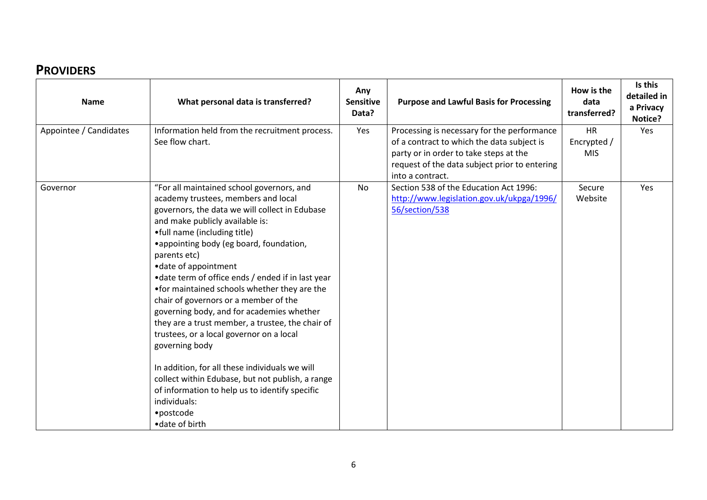#### <span id="page-8-0"></span>**PROVIDERS**

| <b>Name</b>            | What personal data is transferred?                                                                                                                                                                                                                                                                                                                                                                                                                                                                                                                                                                                                                                                                                                                                                                               | Any<br><b>Sensitive</b><br>Data? | <b>Purpose and Lawful Basis for Processing</b>                                                                                                                                                           | How is the<br>data<br>transferred?     | Is this<br>detailed in<br>a Privacy<br>Notice? |
|------------------------|------------------------------------------------------------------------------------------------------------------------------------------------------------------------------------------------------------------------------------------------------------------------------------------------------------------------------------------------------------------------------------------------------------------------------------------------------------------------------------------------------------------------------------------------------------------------------------------------------------------------------------------------------------------------------------------------------------------------------------------------------------------------------------------------------------------|----------------------------------|----------------------------------------------------------------------------------------------------------------------------------------------------------------------------------------------------------|----------------------------------------|------------------------------------------------|
| Appointee / Candidates | Information held from the recruitment process.<br>See flow chart.                                                                                                                                                                                                                                                                                                                                                                                                                                                                                                                                                                                                                                                                                                                                                | Yes                              | Processing is necessary for the performance<br>of a contract to which the data subject is<br>party or in order to take steps at the<br>request of the data subject prior to entering<br>into a contract. | <b>HR</b><br>Encrypted /<br><b>MIS</b> | Yes                                            |
| Governor               | "For all maintained school governors, and<br>academy trustees, members and local<br>governors, the data we will collect in Edubase<br>and make publicly available is:<br>•full name (including title)<br>• appointing body (eg board, foundation,<br>parents etc)<br>• date of appointment<br>• date term of office ends / ended if in last year<br>•for maintained schools whether they are the<br>chair of governors or a member of the<br>governing body, and for academies whether<br>they are a trust member, a trustee, the chair of<br>trustees, or a local governor on a local<br>governing body<br>In addition, for all these individuals we will<br>collect within Edubase, but not publish, a range<br>of information to help us to identify specific<br>individuals:<br>·postcode<br>• date of birth | No                               | Section 538 of the Education Act 1996:<br>http://www.legislation.gov.uk/ukpga/1996/<br>56/section/538                                                                                                    | Secure<br>Website                      | Yes                                            |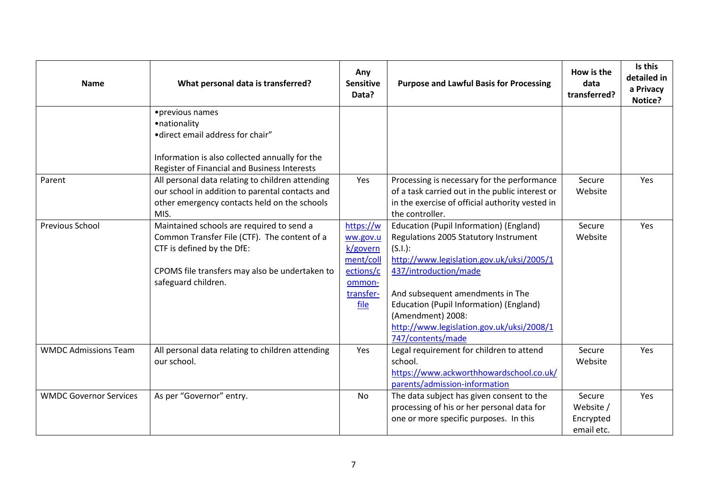| <b>Name</b>                   | What personal data is transferred?                                                                                                                                                               | Any<br><b>Sensitive</b><br>Data?                                                           | <b>Purpose and Lawful Basis for Processing</b>                                                                                                                                                                                                                                                                                             | How is the<br>data<br>transferred?             | Is this<br>detailed in<br>a Privacy<br>Notice? |
|-------------------------------|--------------------------------------------------------------------------------------------------------------------------------------------------------------------------------------------------|--------------------------------------------------------------------------------------------|--------------------------------------------------------------------------------------------------------------------------------------------------------------------------------------------------------------------------------------------------------------------------------------------------------------------------------------------|------------------------------------------------|------------------------------------------------|
|                               | • previous names<br>·nationality<br>• direct email address for chair"<br>Information is also collected annually for the<br>Register of Financial and Business Interests                          |                                                                                            |                                                                                                                                                                                                                                                                                                                                            |                                                |                                                |
| Parent                        | All personal data relating to children attending<br>our school in addition to parental contacts and<br>other emergency contacts held on the schools<br>MIS.                                      | Yes                                                                                        | Processing is necessary for the performance<br>of a task carried out in the public interest or<br>in the exercise of official authority vested in<br>the controller.                                                                                                                                                                       | Secure<br>Website                              | Yes                                            |
| Previous School               | Maintained schools are required to send a<br>Common Transfer File (CTF). The content of a<br>CTF is defined by the DfE:<br>CPOMS file transfers may also be undertaken to<br>safeguard children. | https://w<br>ww.gov.u<br>k/govern<br>ment/coll<br>ections/c<br>ommon-<br>transfer-<br>file | Education (Pupil Information) (England)<br>Regulations 2005 Statutory Instrument<br>$(S.I.)$ :<br>http://www.legislation.gov.uk/uksi/2005/1<br>437/introduction/made<br>And subsequent amendments in The<br>Education (Pupil Information) (England)<br>(Amendment) 2008:<br>http://www.legislation.gov.uk/uksi/2008/1<br>747/contents/made | Secure<br>Website                              | Yes                                            |
| <b>WMDC Admissions Team</b>   | All personal data relating to children attending<br>our school.                                                                                                                                  | Yes                                                                                        | Legal requirement for children to attend<br>school.<br>https://www.ackworthhowardschool.co.uk/<br>parents/admission-information                                                                                                                                                                                                            | Secure<br>Website                              | Yes                                            |
| <b>WMDC Governor Services</b> | As per "Governor" entry.                                                                                                                                                                         | No                                                                                         | The data subject has given consent to the<br>processing of his or her personal data for<br>one or more specific purposes. In this                                                                                                                                                                                                          | Secure<br>Website /<br>Encrypted<br>email etc. | Yes                                            |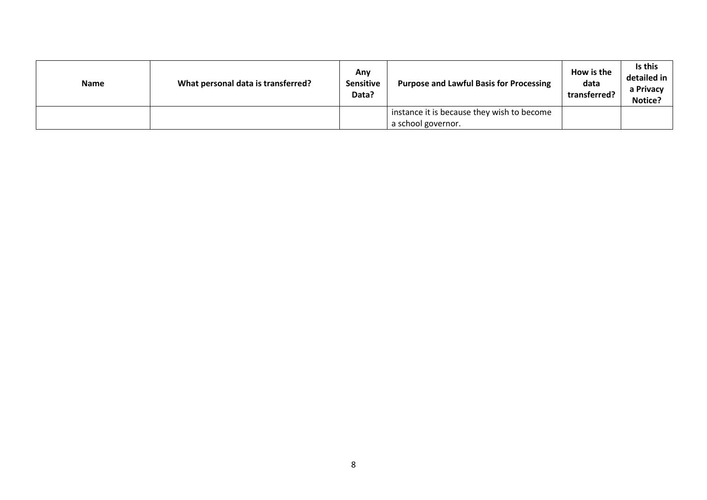| <b>Name</b> | What personal data is transferred? | Any<br><b>Sensitive</b><br>Data? | <b>Purpose and Lawful Basis for Processing</b> | How is the<br>data<br>transferred? | Is this<br>detailed in<br>a Privacy<br>Notice? |
|-------------|------------------------------------|----------------------------------|------------------------------------------------|------------------------------------|------------------------------------------------|
|             |                                    |                                  | instance it is because they wish to become     |                                    |                                                |
|             |                                    |                                  | a school governor.                             |                                    |                                                |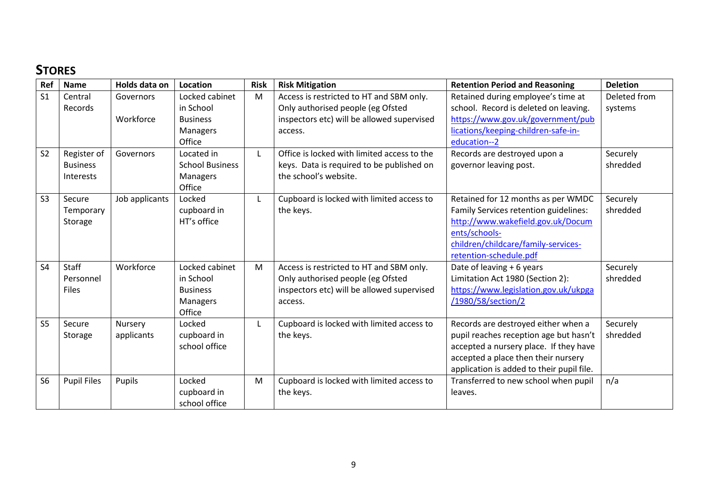## <span id="page-11-0"></span>**STORES**

| Ref            | <b>Name</b>        | Holds data on  | Location               | <b>Risk</b> | <b>Risk Mitigation</b>                      | <b>Retention Period and Reasoning</b>     | <b>Deletion</b> |
|----------------|--------------------|----------------|------------------------|-------------|---------------------------------------------|-------------------------------------------|-----------------|
| S <sub>1</sub> | Central            | Governors      | Locked cabinet         | M           | Access is restricted to HT and SBM only.    | Retained during employee's time at        | Deleted from    |
|                | Records            |                | in School              |             | Only authorised people (eg Ofsted           | school. Record is deleted on leaving.     | systems         |
|                |                    | Workforce      | <b>Business</b>        |             | inspectors etc) will be allowed supervised  | https://www.gov.uk/government/pub         |                 |
|                |                    |                | Managers               |             | access.                                     | lications/keeping-children-safe-in-       |                 |
|                |                    |                | Office                 |             |                                             | education--2                              |                 |
| S <sub>2</sub> | Register of        | Governors      | Located in             | L           | Office is locked with limited access to the | Records are destroyed upon a              | Securely        |
|                | <b>Business</b>    |                | <b>School Business</b> |             | keys. Data is required to be published on   | governor leaving post.                    | shredded        |
|                | <b>Interests</b>   |                | <b>Managers</b>        |             | the school's website.                       |                                           |                 |
|                |                    |                | Office                 |             |                                             |                                           |                 |
| S <sub>3</sub> | Secure             | Job applicants | Locked                 | L           | Cupboard is locked with limited access to   | Retained for 12 months as per WMDC        | Securely        |
|                | Temporary          |                | cupboard in            |             | the keys.                                   | Family Services retention guidelines:     | shredded        |
|                | Storage            |                | HT's office            |             |                                             | http://www.wakefield.gov.uk/Docum         |                 |
|                |                    |                |                        |             |                                             | ents/schools-                             |                 |
|                |                    |                |                        |             |                                             | children/childcare/family-services-       |                 |
|                |                    |                |                        |             |                                             | retention-schedule.pdf                    |                 |
| S <sub>4</sub> | <b>Staff</b>       | Workforce      | Locked cabinet         | M           | Access is restricted to HT and SBM only.    | Date of leaving + 6 years                 | Securely        |
|                | Personnel          |                | in School              |             | Only authorised people (eg Ofsted           | Limitation Act 1980 (Section 2):          | shredded        |
|                | <b>Files</b>       |                | <b>Business</b>        |             | inspectors etc) will be allowed supervised  | https://www.legislation.gov.uk/ukpga      |                 |
|                |                    |                | Managers               |             | access.                                     | /1980/58/section/2                        |                 |
|                |                    |                | Office                 |             |                                             |                                           |                 |
| S <sub>5</sub> | Secure             | Nursery        | Locked                 | L           | Cupboard is locked with limited access to   | Records are destroyed either when a       | Securely        |
|                | Storage            | applicants     | cupboard in            |             | the keys.                                   | pupil reaches reception age but hasn't    | shredded        |
|                |                    |                | school office          |             |                                             | accepted a nursery place. If they have    |                 |
|                |                    |                |                        |             |                                             | accepted a place then their nursery       |                 |
|                |                    |                |                        |             |                                             | application is added to their pupil file. |                 |
| S <sub>6</sub> | <b>Pupil Files</b> | Pupils         | Locked                 | M           | Cupboard is locked with limited access to   | Transferred to new school when pupil      | n/a             |
|                |                    |                | cupboard in            |             | the keys.                                   | leaves.                                   |                 |
|                |                    |                | school office          |             |                                             |                                           |                 |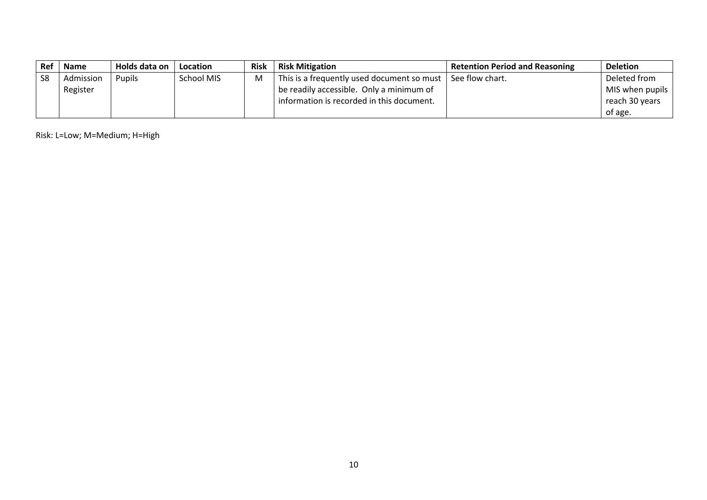| <b>Ref</b>     | <b>Name</b> | Holds data on | Location          | <b>Risk</b> | <b>Risk Mitigation</b>                     | <b>Retention Period and Reasoning</b> | <b>Deletion</b> |
|----------------|-------------|---------------|-------------------|-------------|--------------------------------------------|---------------------------------------|-----------------|
| S <sub>8</sub> | Admission   | Pupils        | <b>School MIS</b> | м           | This is a frequently used document so must | See flow chart.                       | Deleted from    |
|                | Register    |               |                   |             | be readily accessible. Only a minimum of   |                                       | MIS when pupils |
|                |             |               |                   |             | information is recorded in this document.  |                                       | reach 30 years  |
|                |             |               |                   |             |                                            |                                       | of age.         |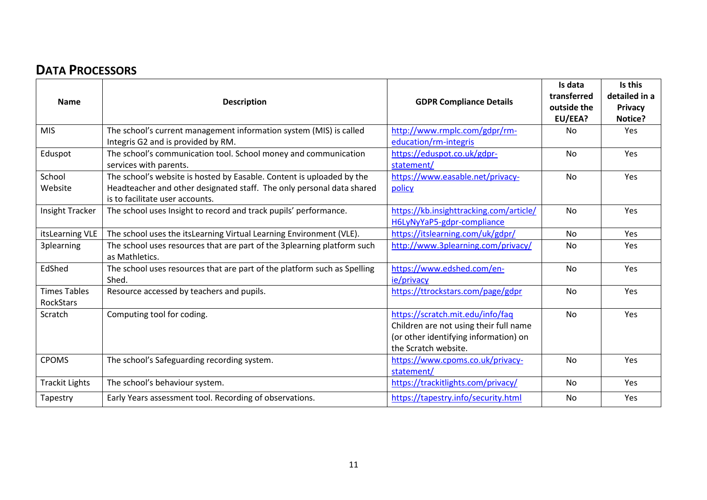#### <span id="page-13-0"></span>**DATA PROCESSORS**

| <b>Name</b>                      | <b>Description</b>                                                                                                                                                                | <b>GDPR Compliance Details</b>                                                                                                              | Is data<br>transferred<br>outside the<br>EU/EEA? | Is this<br>detailed in a<br>Privacy<br>Notice? |
|----------------------------------|-----------------------------------------------------------------------------------------------------------------------------------------------------------------------------------|---------------------------------------------------------------------------------------------------------------------------------------------|--------------------------------------------------|------------------------------------------------|
| <b>MIS</b>                       | The school's current management information system (MIS) is called<br>Integris G2 and is provided by RM.                                                                          | http://www.rmplc.com/gdpr/rm-<br>education/rm-integris                                                                                      | No                                               | Yes                                            |
| Eduspot                          | The school's communication tool. School money and communication<br>services with parents.                                                                                         | https://eduspot.co.uk/gdpr-<br>statement/                                                                                                   | <b>No</b>                                        | Yes                                            |
| School<br>Website                | The school's website is hosted by Easable. Content is uploaded by the<br>Headteacher and other designated staff. The only personal data shared<br>is to facilitate user accounts. | https://www.easable.net/privacy-<br>policy                                                                                                  | <b>No</b>                                        | Yes                                            |
| Insight Tracker                  | The school uses Insight to record and track pupils' performance.                                                                                                                  | https://kb.insighttracking.com/article/<br>H6LyNyYaP5-gdpr-compliance                                                                       | No                                               | Yes                                            |
| itsLearning VLE                  | The school uses the itsLearning Virtual Learning Environment (VLE).                                                                                                               | https://itslearning.com/uk/gdpr/                                                                                                            | <b>No</b>                                        | Yes                                            |
| 3plearning                       | The school uses resources that are part of the 3plearning platform such<br>as Mathletics.                                                                                         | http://www.3plearning.com/privacy/                                                                                                          | <b>No</b>                                        | Yes                                            |
| EdShed                           | The school uses resources that are part of the platform such as Spelling<br>Shed.                                                                                                 | https://www.edshed.com/en-<br>ie/privacy                                                                                                    | <b>No</b>                                        | Yes                                            |
| <b>Times Tables</b><br>RockStars | Resource accessed by teachers and pupils.                                                                                                                                         | https://ttrockstars.com/page/gdpr                                                                                                           | <b>No</b>                                        | Yes                                            |
| Scratch                          | Computing tool for coding.                                                                                                                                                        | https://scratch.mit.edu/info/faq<br>Children are not using their full name<br>(or other identifying information) on<br>the Scratch website. | <b>No</b>                                        | Yes                                            |
| <b>CPOMS</b>                     | The school's Safeguarding recording system.                                                                                                                                       | https://www.cpoms.co.uk/privacy-<br>statement/                                                                                              | No                                               | Yes                                            |
| <b>Trackit Lights</b>            | The school's behaviour system.                                                                                                                                                    | https://trackitlights.com/privacy/                                                                                                          | <b>No</b>                                        | Yes                                            |
| Tapestry                         | Early Years assessment tool. Recording of observations.                                                                                                                           | https://tapestry.info/security.html                                                                                                         | No                                               | Yes                                            |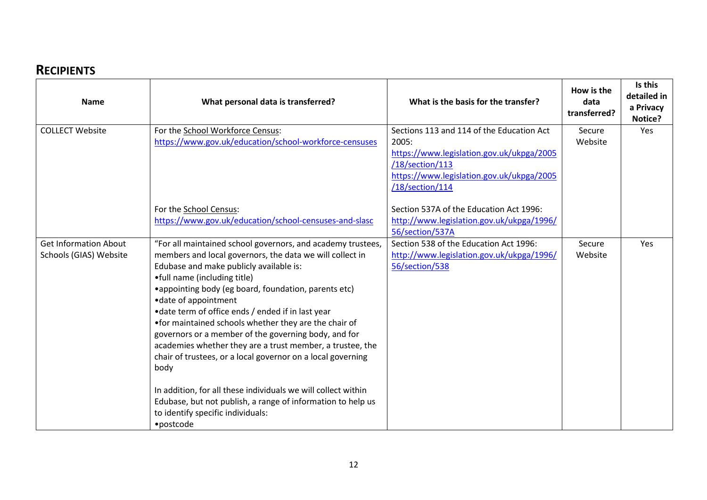#### <span id="page-14-0"></span>**RECIPIENTS**

| <b>Name</b>                                            | What personal data is transferred?                                                                                                                                                                                                                                                                                                                                                                                                                                                                                                                                                                                                                                                                                                                                                | What is the basis for the transfer?                                                                                                                                                | How is the<br>data<br>transferred? | Is this<br>detailed in<br>a Privacy<br>Notice? |
|--------------------------------------------------------|-----------------------------------------------------------------------------------------------------------------------------------------------------------------------------------------------------------------------------------------------------------------------------------------------------------------------------------------------------------------------------------------------------------------------------------------------------------------------------------------------------------------------------------------------------------------------------------------------------------------------------------------------------------------------------------------------------------------------------------------------------------------------------------|------------------------------------------------------------------------------------------------------------------------------------------------------------------------------------|------------------------------------|------------------------------------------------|
| <b>COLLECT Website</b>                                 | For the School Workforce Census:<br>https://www.gov.uk/education/school-workforce-censuses                                                                                                                                                                                                                                                                                                                                                                                                                                                                                                                                                                                                                                                                                        | Sections 113 and 114 of the Education Act<br>2005:<br>https://www.legislation.gov.uk/ukpga/2005<br>/18/section/113<br>https://www.legislation.gov.uk/ukpga/2005<br>/18/section/114 | Secure<br>Website                  | Yes                                            |
|                                                        | For the School Census:<br>https://www.gov.uk/education/school-censuses-and-slasc                                                                                                                                                                                                                                                                                                                                                                                                                                                                                                                                                                                                                                                                                                  | Section 537A of the Education Act 1996:<br>http://www.legislation.gov.uk/ukpga/1996/<br>56/section/537A                                                                            |                                    |                                                |
| <b>Get Information About</b><br>Schools (GIAS) Website | "For all maintained school governors, and academy trustees,<br>members and local governors, the data we will collect in<br>Edubase and make publicly available is:<br>•full name (including title)<br>• appointing body (eg board, foundation, parents etc)<br>• date of appointment<br>• date term of office ends / ended if in last year<br>•for maintained schools whether they are the chair of<br>governors or a member of the governing body, and for<br>academies whether they are a trust member, a trustee, the<br>chair of trustees, or a local governor on a local governing<br>body<br>In addition, for all these individuals we will collect within<br>Edubase, but not publish, a range of information to help us<br>to identify specific individuals:<br>•postcode | Section 538 of the Education Act 1996:<br>http://www.legislation.gov.uk/ukpga/1996/<br>56/section/538                                                                              | Secure<br>Website                  | Yes                                            |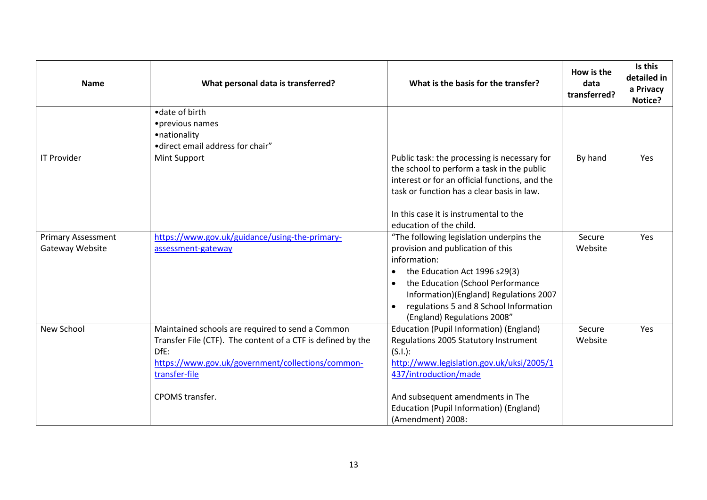| <b>Name</b>                                  | What personal data is transferred?                                                                                                                                                                               | What is the basis for the transfer?                                                                                                                                                                                                                                                                                           | How is the<br>data<br>transferred? | Is this<br>detailed in<br>a Privacy<br>Notice? |
|----------------------------------------------|------------------------------------------------------------------------------------------------------------------------------------------------------------------------------------------------------------------|-------------------------------------------------------------------------------------------------------------------------------------------------------------------------------------------------------------------------------------------------------------------------------------------------------------------------------|------------------------------------|------------------------------------------------|
|                                              | • date of birth<br>• previous names<br>• nationality<br>• direct email address for chair"                                                                                                                        |                                                                                                                                                                                                                                                                                                                               |                                    |                                                |
| <b>IT Provider</b>                           | Mint Support                                                                                                                                                                                                     | Public task: the processing is necessary for<br>the school to perform a task in the public<br>interest or for an official functions, and the<br>task or function has a clear basis in law.<br>In this case it is instrumental to the<br>education of the child.                                                               | By hand                            | Yes                                            |
| <b>Primary Assessment</b><br>Gateway Website | https://www.gov.uk/guidance/using-the-primary-<br>assessment-gateway                                                                                                                                             | "The following legislation underpins the<br>provision and publication of this<br>information:<br>the Education Act 1996 s29(3)<br>$\bullet$<br>the Education (School Performance<br>$\bullet$<br>Information)(England) Regulations 2007<br>regulations 5 and 8 School Information<br>$\bullet$<br>(England) Regulations 2008" | Secure<br>Website                  | Yes                                            |
| New School                                   | Maintained schools are required to send a Common<br>Transfer File (CTF). The content of a CTF is defined by the<br>DfE:<br>https://www.gov.uk/government/collections/common-<br>transfer-file<br>CPOMS transfer. | Education (Pupil Information) (England)<br>Regulations 2005 Statutory Instrument<br>$(S.I.)$ :<br>http://www.legislation.gov.uk/uksi/2005/1<br>437/introduction/made<br>And subsequent amendments in The<br><b>Education (Pupil Information) (England)</b><br>(Amendment) 2008:                                               | Secure<br>Website                  | Yes                                            |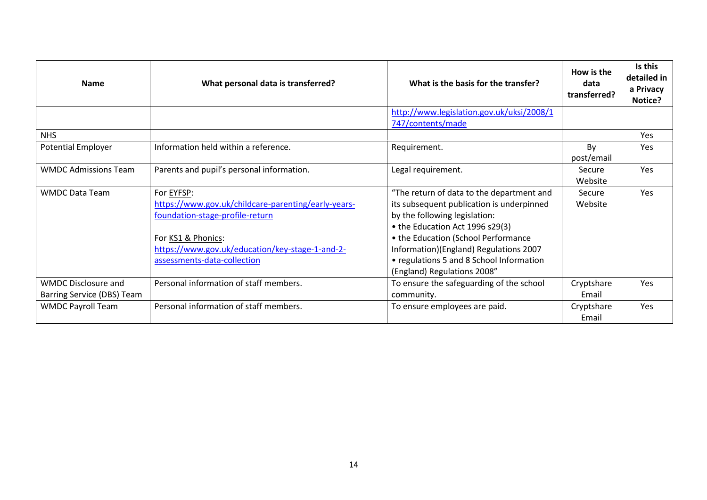| <b>Name</b>                                              | What personal data is transferred?                                                                                                                                            | What is the basis for the transfer?                                                                                                                                                                                                         | How is the<br>data<br>transferred? | Is this<br>detailed in<br>a Privacy<br>Notice? |
|----------------------------------------------------------|-------------------------------------------------------------------------------------------------------------------------------------------------------------------------------|---------------------------------------------------------------------------------------------------------------------------------------------------------------------------------------------------------------------------------------------|------------------------------------|------------------------------------------------|
|                                                          |                                                                                                                                                                               | http://www.legislation.gov.uk/uksi/2008/1<br>747/contents/made                                                                                                                                                                              |                                    |                                                |
| <b>NHS</b>                                               |                                                                                                                                                                               |                                                                                                                                                                                                                                             |                                    | <b>Yes</b>                                     |
| <b>Potential Employer</b>                                | Information held within a reference.                                                                                                                                          | Requirement.                                                                                                                                                                                                                                | By<br>post/email                   | Yes                                            |
| <b>WMDC Admissions Team</b>                              | Parents and pupil's personal information.                                                                                                                                     | Legal requirement.                                                                                                                                                                                                                          | Secure<br>Website                  | Yes                                            |
| <b>WMDC Data Team</b>                                    | For EYFSP:<br>https://www.gov.uk/childcare-parenting/early-years-<br>foundation-stage-profile-return<br>For KS1 & Phonics:<br>https://www.gov.uk/education/key-stage-1-and-2- | "The return of data to the department and<br>its subsequent publication is underpinned<br>by the following legislation:<br>• the Education Act 1996 s29(3)<br>• the Education (School Performance<br>Information)(England) Regulations 2007 | Secure<br>Website                  | Yes                                            |
|                                                          | assessments-data-collection                                                                                                                                                   | • regulations 5 and 8 School Information<br>(England) Regulations 2008"                                                                                                                                                                     |                                    |                                                |
| <b>WMDC Disclosure and</b><br>Barring Service (DBS) Team | Personal information of staff members.                                                                                                                                        | To ensure the safeguarding of the school<br>community.                                                                                                                                                                                      | Cryptshare<br>Email                | <b>Yes</b>                                     |
| <b>WMDC Payroll Team</b>                                 | Personal information of staff members.                                                                                                                                        | To ensure employees are paid.                                                                                                                                                                                                               | Cryptshare<br>Email                | Yes                                            |